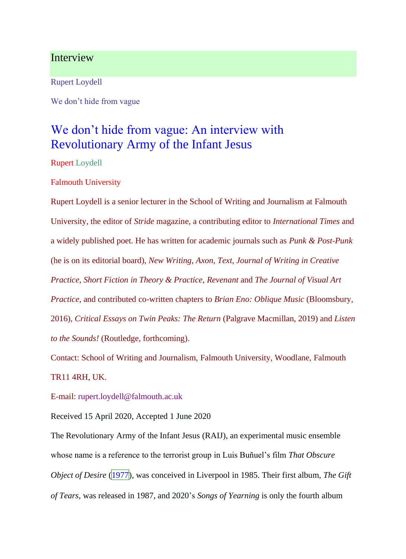## Interview

Rupert Loydell

We don't hide from vague

# We don't hide from vague: An interview with Revolutionary Army of the Infant Jesus

Rupert Loydell

Falmouth University

Rupert Loydell is a senior lecturer in the School of Writing and Journalism at Falmouth University, the editor of *Stride* magazine, a contributing editor to *International Times* and a widely published poet. He has written for academic journals such as *Punk & Post-Punk* (he is on its editorial board), *New Writing*, *Axon*, *Text*, *Journal of Writing in Creative Practice*, *Short Fiction in Theory & Practice*, *Revenant* and *The Journal of Visual Art Practice*, and contributed co-written chapters to *Brian Eno: Oblique Music* (Bloomsbury, 2016), *Critical Essays on Twin Peaks: The Return* (Palgrave Macmillan, 2019) and *Listen to the Sounds!* (Routledge, forthcoming).

Contact: School of Writing and Journalism, Falmouth University, Woodlane, Falmouth TR11 4RH, UK.

E-mail: rupert.loydell@falmouth.ac.uk

Received 15 April 2020, Accepted 1 June 2020

The Revolutionary Army of the Infant Jesus (RAIJ), an experimental music ensemble whose name is a reference to the terrorist group in Luis Buñuel's film *That Obscure Object of Desire* (1977), was conceived in Liverpool in 1985. Their first album, *The Gift of Tears*, was released in 1987, and 2020's *Songs of Yearning* is only the fourth album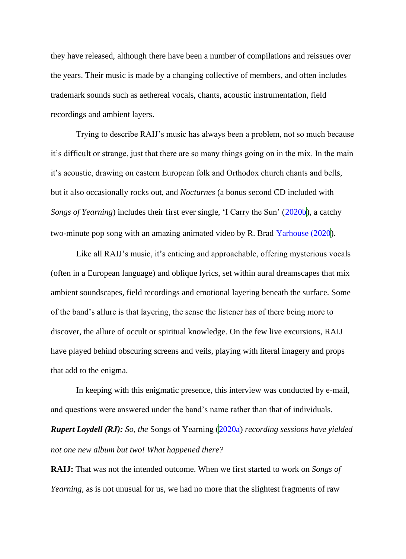they have released, although there have been a number of compilations and reissues over the years. Their music is made by a changing collective of members, and often includes trademark sounds such as aethereal vocals, chants, acoustic instrumentation, field recordings and ambient layers.

Trying to describe RAIJ's music has always been a problem, not so much because it's difficult or strange, just that there are so many things going on in the mix. In the main it's acoustic, drawing on eastern European folk and Orthodox church chants and bells, but it also occasionally rocks out, and *Nocturnes* (a bonus second CD included with *Songs of Yearning*) includes their first ever single, 'I Carry the Sun' (2020b), a catchy two-minute pop song with an amazing animated video by R. Brad  $\text{Yarhouse (2020)}$ .

Like all RAIJ's music, it's enticing and approachable, offering mysterious vocals (often in a European language) and oblique lyrics, set within aural dreamscapes that mix ambient soundscapes, field recordings and emotional layering beneath the surface. Some of the band's allure is that layering, the sense the listener has of there being more to discover, the allure of occult or spiritual knowledge. On the few live excursions, RAIJ have played behind obscuring screens and veils, playing with literal imagery and props that add to the enigma.

In keeping with this enigmatic presence, this interview was conducted by e-mail, and questions were answered under the band's name rather than that of individuals. *Rupert Loydell (RJ): So, the* Songs of Yearning (2020a) *recording sessions have yielded not one new album but two! What happened there?*

**RAIJ:** That was not the intended outcome. When we first started to work on *Songs of Yearning*, as is not unusual for us, we had no more that the slightest fragments of raw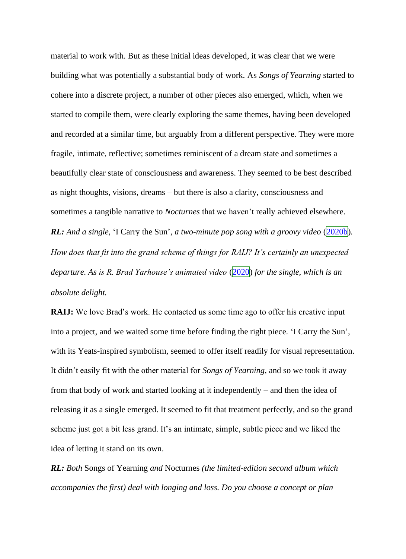material to work with. But as these initial ideas developed, it was clear that we were building what was potentially a substantial body of work. As *Songs of Yearning* started to cohere into a discrete project, a number of other pieces also emerged, which, when we started to compile them, were clearly exploring the same themes, having been developed and recorded at a similar time, but arguably from a different perspective. They were more fragile, intimate, reflective; sometimes reminiscent of a dream state and sometimes a beautifully clear state of consciousness and awareness. They seemed to be best described as night thoughts, visions, dreams – but there is also a clarity, consciousness and sometimes a tangible narrative to *Nocturnes* that we haven't really achieved elsewhere. *RL*: *And a single,* 'I Carry the Sun', *a two-minute pop song with a groovy video* (2020b). *How does that fit into the grand scheme of things for RAIJ? It's certainly an unexpected departure. As is R. Brad Yarhouse's animated video* (2020) *for the single, which is an absolute delight.*

**RAIJ:** We love Brad's work. He contacted us some time ago to offer his creative input into a project, and we waited some time before finding the right piece. 'I Carry the Sun', with its Yeats-inspired symbolism, seemed to offer itself readily for visual representation. It didn't easily fit with the other material for *Songs of Yearning*, and so we took it away from that body of work and started looking at it independently – and then the idea of releasing it as a single emerged. It seemed to fit that treatment perfectly, and so the grand scheme just got a bit less grand. It's an intimate, simple, subtle piece and we liked the idea of letting it stand on its own.

*RL: Both* Songs of Yearning *and* Nocturnes *(the limited-edition second album which accompanies the first) deal with longing and loss. Do you choose a concept or plan*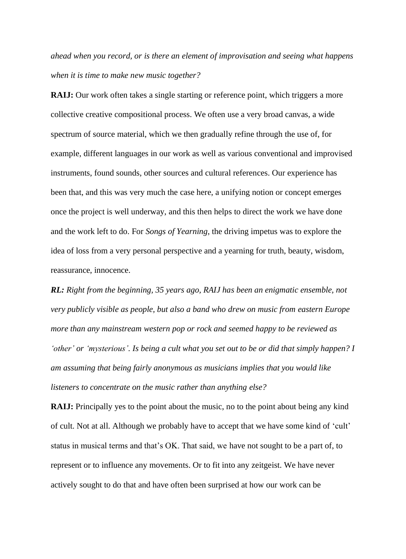*ahead when you record, or is there an element of improvisation and seeing what happens when it is time to make new music together?*

**RAIJ:** Our work often takes a single starting or reference point, which triggers a more collective creative compositional process. We often use a very broad canvas, a wide spectrum of source material, which we then gradually refine through the use of, for example, different languages in our work as well as various conventional and improvised instruments, found sounds, other sources and cultural references. Our experience has been that, and this was very much the case here, a unifying notion or concept emerges once the project is well underway, and this then helps to direct the work we have done and the work left to do. For *Songs of Yearning*, the driving impetus was to explore the idea of loss from a very personal perspective and a yearning for truth, beauty, wisdom, reassurance, innocence.

*RL: Right from the beginning, 35 years ago, RAIJ has been an enigmatic ensemble, not very publicly visible as people, but also a band who drew on music from eastern Europe more than any mainstream western pop or rock and seemed happy to be reviewed as 'other' or 'mysterious'. Is being a cult what you set out to be or did that simply happen? I am assuming that being fairly anonymous as musicians implies that you would like listeners to concentrate on the music rather than anything else?*

**RAIJ:** Principally yes to the point about the music, no to the point about being any kind of cult. Not at all. Although we probably have to accept that we have some kind of 'cult' status in musical terms and that's OK. That said, we have not sought to be a part of, to represent or to influence any movements. Or to fit into any zeitgeist. We have never actively sought to do that and have often been surprised at how our work can be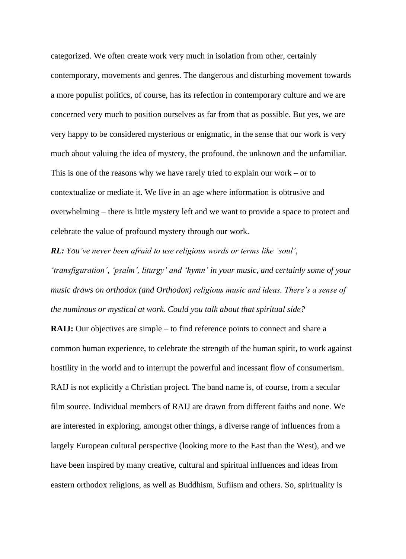categorized. We often create work very much in isolation from other, certainly contemporary, movements and genres. The dangerous and disturbing movement towards a more populist politics, of course, has its refection in contemporary culture and we are concerned very much to position ourselves as far from that as possible. But yes, we are very happy to be considered mysterious or enigmatic, in the sense that our work is very much about valuing the idea of mystery, the profound, the unknown and the unfamiliar. This is one of the reasons why we have rarely tried to explain our work – or to contextualize or mediate it. We live in an age where information is obtrusive and overwhelming – there is little mystery left and we want to provide a space to protect and celebrate the value of profound mystery through our work.

*RL: You've never been afraid to use religious words or terms like 'soul', 'transfiguration', 'psalm', liturgy' and 'hymn' in your music, and certainly some of your music draws on orthodox (and Orthodox) religious music and ideas. There's a sense of the numinous or mystical at work. Could you talk about that spiritual side?*

**RAIJ:** Our objectives are simple – to find reference points to connect and share a common human experience, to celebrate the strength of the human spirit, to work against hostility in the world and to interrupt the powerful and incessant flow of consumerism. RAIJ is not explicitly a Christian project. The band name is, of course, from a secular film source. Individual members of RAIJ are drawn from different faiths and none. We are interested in exploring, amongst other things, a diverse range of influences from a largely European cultural perspective (looking more to the East than the West), and we have been inspired by many creative, cultural and spiritual influences and ideas from eastern orthodox religions, as well as Buddhism, Sufiism and others. So, spirituality is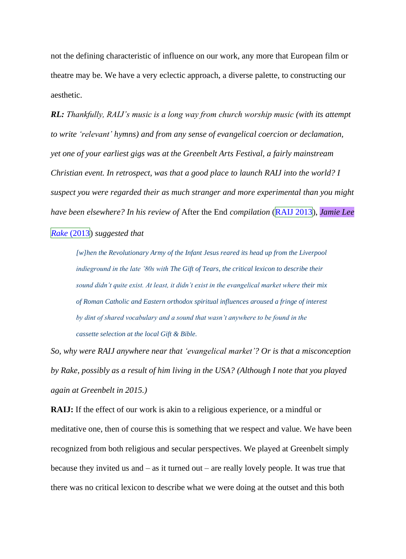not the defining characteristic of influence on our work, any more that European film or theatre may be. We have a very eclectic approach, a diverse palette, to constructing our aesthetic.

*RL: Thankfully, RAIJ's music is a long way from church worship music (with its attempt to write 'relevant' hymns) and from any sense of evangelical coercion or declamation, yet one of your earliest gigs was at the Greenbelt Arts Festival, a fairly mainstream Christian event. In retrospect, was that a good place to launch RAIJ into the world? I suspect you were regarded their as much stranger and more experimental than you might have been elsewhere? In his review of* After the End *compilation* (RAIJ 2013), *Jamie Lee* 

## *Rake* (2013) *suggested that*

*[w]hen the Revolutionary Army of the Infant Jesus reared its head up from the Liverpool indieground in the late '80s with The Gift of Tears, the critical lexicon to describe their sound didn't quite exist. At least, it didn't exist in the evangelical market where their mix of Roman Catholic and Eastern orthodox spiritual influences aroused a fringe of interest by dint of shared vocabulary and a sound that wasn't anywhere to be found in the cassette selection at the local Gift & Bible.*

*So, why were RAIJ anywhere near that 'evangelical market'? Or is that a misconception by Rake, possibly as a result of him living in the USA? (Although I note that you played again at Greenbelt in 2015.)*

**RAIJ:** If the effect of our work is akin to a religious experience, or a mindful or meditative one, then of course this is something that we respect and value. We have been recognized from both religious and secular perspectives. We played at Greenbelt simply because they invited us and – as it turned out – are really lovely people. It was true that there was no critical lexicon to describe what we were doing at the outset and this both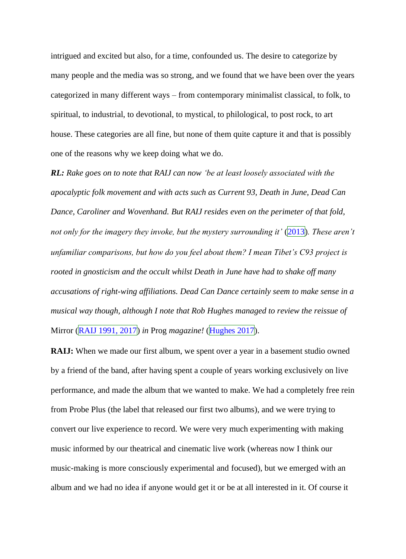intrigued and excited but also, for a time, confounded us. The desire to categorize by many people and the media was so strong, and we found that we have been over the years categorized in many different ways – from contemporary minimalist classical, to folk, to spiritual, to industrial, to devotional, to mystical, to philological, to post rock, to art house. These categories are all fine, but none of them quite capture it and that is possibly one of the reasons why we keep doing what we do.

*RL: Rake goes on to note that RAIJ can now 'be at least loosely associated with the apocalyptic folk movement and with acts such as Current 93, Death in June, Dead Can Dance, Caroliner and Wovenhand. But RAIJ resides even on the perimeter of that fold, not only for the imagery they invoke, but the mystery surrounding it'* (2013). These aren't *unfamiliar comparisons, but how do you feel about them? I mean Tibet's C93 project is rooted in gnosticism and the occult whilst Death in June have had to shake off many accusations of right-wing affiliations. Dead Can Dance certainly seem to make sense in a musical way though, although I note that Rob Hughes managed to review the reissue of*  Mirror (RAIJ 1991, 2017) *in* Prog *magazine!* (Hughes 2017).

**RAIJ:** When we made our first album, we spent over a year in a basement studio owned by a friend of the band, after having spent a couple of years working exclusively on live performance, and made the album that we wanted to make. We had a completely free rein from Probe Plus (the label that released our first two albums), and we were trying to convert our live experience to record. We were very much experimenting with making music informed by our theatrical and cinematic live work (whereas now I think our music-making is more consciously experimental and focused), but we emerged with an album and we had no idea if anyone would get it or be at all interested in it. Of course it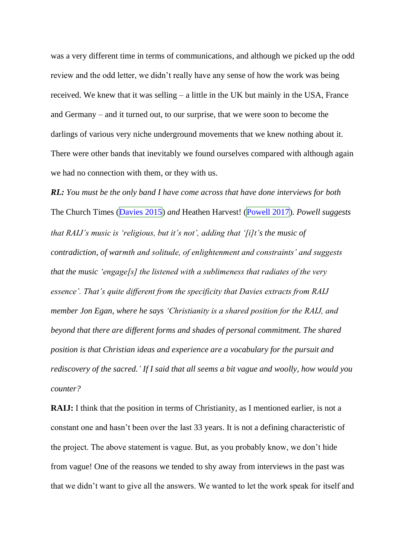was a very different time in terms of communications, and although we picked up the odd review and the odd letter, we didn't really have any sense of how the work was being received. We knew that it was selling – a little in the UK but mainly in the USA, France and Germany – and it turned out, to our surprise, that we were soon to become the darlings of various very niche underground movements that we knew nothing about it. There were other bands that inevitably we found ourselves compared with although again we had no connection with them, or they with us.

*RL: You must be the only band I have come across that have done interviews for both*  The Church Times (Davies 2015) *and* Heathen Harvest! (Powell 2017)*. Powell suggests that RAIJ's music is 'religious, but it's not', adding that '[i]t's the music of contradiction, of warmth and solitude, of enlightenment and constraints' and suggests that the music 'engage[s] the listened with a sublimeness that radiates of the very essence'. That's quite different from the specificity that Davies extracts from RAIJ member Jon Egan, where he says 'Christianity is a shared position for the RAIJ, and beyond that there are different forms and shades of personal commitment. The shared position is that Christian ideas and experience are a vocabulary for the pursuit and rediscovery of the sacred.' If I said that all seems a bit vague and woolly, how would you counter?*

**RAIJ:** I think that the position in terms of Christianity, as I mentioned earlier, is not a constant one and hasn't been over the last 33 years. It is not a defining characteristic of the project. The above statement is vague. But, as you probably know, we don't hide from vague! One of the reasons we tended to shy away from interviews in the past was that we didn't want to give all the answers. We wanted to let the work speak for itself and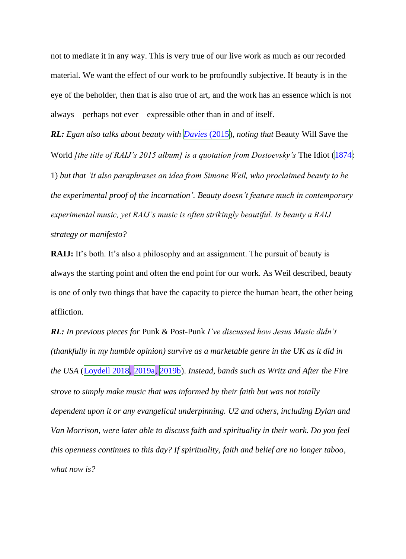not to mediate it in any way. This is very true of our live work as much as our recorded material. We want the effect of our work to be profoundly subjective. If beauty is in the eye of the beholder, then that is also true of art, and the work has an essence which is not always – perhaps not ever – expressible other than in and of itself.

*RL: Egan also talks about beauty with Davies* (2015)*, noting that* Beauty Will Save the World *[the title of RAIJ's 2015 album] is a quotation from Dostoevsky's* The Idiot (1874: 1) *but that 'it also paraphrases an idea from Simone Weil, who proclaimed beauty to be the experimental proof of the incarnation'. Beauty doesn't feature much in contemporary experimental music, yet RAIJ's music is often strikingly beautiful. Is beauty a RAIJ strategy or manifesto?*

**RAIJ:** It's both. It's also a philosophy and an assignment. The pursuit of beauty is always the starting point and often the end point for our work. As Weil described, beauty is one of only two things that have the capacity to pierce the human heart, the other being affliction.

*RL: In previous pieces for* Punk & Post-Punk *I've discussed how Jesus Music didn't (thankfully in my humble opinion) survive as a marketable genre in the UK as it did in the USA* (Loydell 2018, 2019a, 2019b). *Instead, bands such as Writz and After the Fire strove to simply make music that was informed by their faith but was not totally dependent upon it or any evangelical underpinning. U2 and others, including Dylan and Van Morrison, were later able to discuss faith and spirituality in their work. Do you feel this openness continues to this day? If spirituality, faith and belief are no longer taboo, what now is?*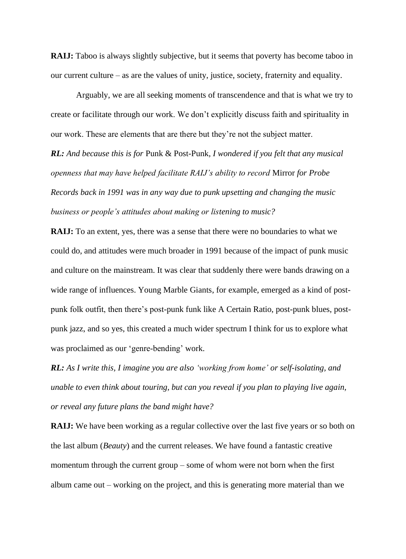**RAIJ:** Taboo is always slightly subjective, but it seems that poverty has become taboo in our current culture – as are the values of unity, justice, society, fraternity and equality.

Arguably, we are all seeking moments of transcendence and that is what we try to create or facilitate through our work. We don't explicitly discuss faith and spirituality in our work. These are elements that are there but they're not the subject matter.

*RL: And because this is for* Punk & Post-Punk*, I wondered if you felt that any musical openness that may have helped facilitate RAIJ's ability to record* Mirror *for Probe Records back in 1991 was in any way due to punk upsetting and changing the music business or people's attitudes about making or listening to music?*

**RAIJ:** To an extent, yes, there was a sense that there were no boundaries to what we could do, and attitudes were much broader in 1991 because of the impact of punk music and culture on the mainstream. It was clear that suddenly there were bands drawing on a wide range of influences. Young Marble Giants, for example, emerged as a kind of postpunk folk outfit, then there's post-punk funk like A Certain Ratio, post-punk blues, postpunk jazz, and so yes, this created a much wider spectrum I think for us to explore what was proclaimed as our 'genre-bending' work.

*RL: As I write this, I imagine you are also 'working from home' or self-isolating, and unable to even think about touring, but can you reveal if you plan to playing live again, or reveal any future plans the band might have?*

**RAIJ:** We have been working as a regular collective over the last five years or so both on the last album (*Beauty*) and the current releases. We have found a fantastic creative momentum through the current group – some of whom were not born when the first album came out – working on the project, and this is generating more material than we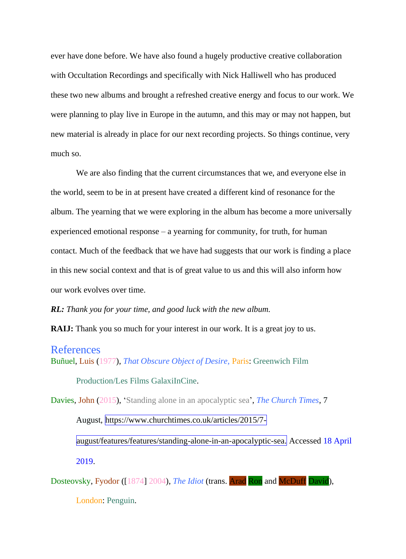ever have done before. We have also found a hugely productive creative collaboration with Occultation Recordings and specifically with Nick Halliwell who has produced these two new albums and brought a refreshed creative energy and focus to our work. We were planning to play live in Europe in the autumn, and this may or may not happen, but new material is already in place for our next recording projects. So things continue, very much so.

We are also finding that the current circumstances that we, and everyone else in the world, seem to be in at present have created a different kind of resonance for the album. The yearning that we were exploring in the album has become a more universally experienced emotional response – a yearning for community, for truth, for human contact. Much of the feedback that we have had suggests that our work is finding a place in this new social context and that is of great value to us and this will also inform how our work evolves over time.

#### *RL: Thank you for your time, and good luck with the new album.*

**RAIJ:** Thank you so much for your interest in our work. It is a great joy to us.

### References

Buñuel, Luis (1977), *That Obscure Object of Desire*, Paris: Greenwich Film

Production/Les Films GalaxiInCine.

Davies, John (2015), 'Standing alone in an apocalyptic sea', *The Church Times*, 7

August, https://www.churchtimes.co.uk/articles/2015/7-

august/features/features/standing-alone-in-an-apocalyptic-sea. Accessed 18 April 2019.

Dosteovsky, Fyodor ([1874] 2004), *The Idiot* (trans. Arad Ron and McDuff David),

London: Penguin.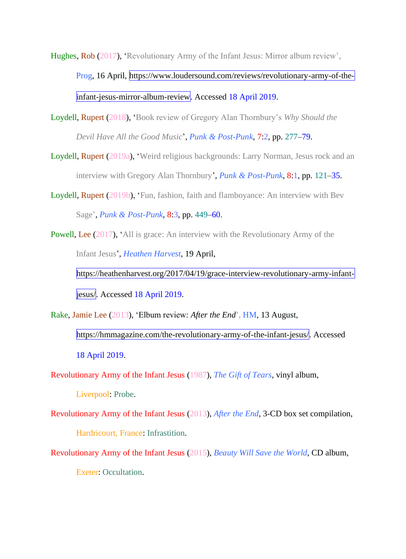Hughes, Rob (2017), 'Revolutionary Army of the Infant Jesus: Mirror album review', Prog, 16 April, https://www.loudersound.com/reviews/revolutionary-army-of-theinfant-jesus-mirror-album-review. Accessed 18 April 2019.

Loydell, Rupert (2018), 'Book review of Gregory Alan Thornbury's *Why Should the Devil Have All the Good Music*', *Punk & Post-Punk*, 7:2, pp. 277–79.

Loydell, Rupert (2019a), 'Weird religious backgrounds: Larry Norman, Jesus rock and an interview with Gregory Alan Thornbury', *Punk & Post-Punk*, 8:1, pp. 121–35.

Loydell, Rupert (2019b), 'Fun, fashion, faith and flamboyance: An interview with Bev Sage', *Punk & Post-Punk*, 8:3, pp. 449–60.

Powell, Lee (2017), 'All is grace: An interview with the Revolutionary Army of the Infant Jesus', *Heathen Harvest*, 19 April,

https://heathenharvest.org/2017/04/19/grace-interview-revolutionary-army-infantjesus/. Accessed 18 April 2019.

Rake, Jamie Lee (2013), 'Elbum review: *After the End*', HM, 13 August,

https://hmmagazine.com/the-revolutionary-army-of-the-infant-jesus/. Accessed 18 April 2019.

Revolutionary Army of the Infant Jesus (1987), *The Gift of Tears*, vinyl album,

Liverpool: Probe.

Revolutionary Army of the Infant Jesus (2013), *After the End*, 3-CD box set compilation, Hardricourt, France: Infrastition.

Revolutionary Army of the Infant Jesus (2015), *Beauty Will Save the World*, CD album, Exeter: Occultation.